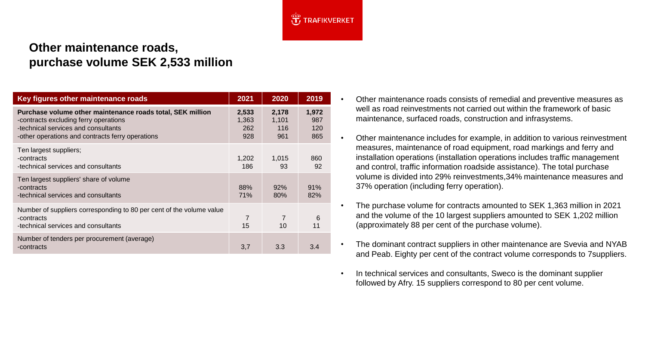

## **Other maintenance roads, purchase volume SEK 2,533 million**

| Key figures other maintenance roads                                                                                                                                                            | 2021                         | 2020                         | 2019                       |
|------------------------------------------------------------------------------------------------------------------------------------------------------------------------------------------------|------------------------------|------------------------------|----------------------------|
| Purchase volume other maintenance roads total, SEK million<br>-contracts excluding ferry operations<br>-technical services and consultants<br>-other operations and contracts ferry operations | 2,533<br>1,363<br>262<br>928 | 2,178<br>1,101<br>116<br>961 | 1,972<br>987<br>120<br>865 |
| Ten largest suppliers;<br>-contracts<br>-technical services and consultants                                                                                                                    | 1,202<br>186                 | 1,015<br>93                  | 860<br>92                  |
| Ten largest suppliers' share of volume<br>-contracts<br>-technical services and consultants                                                                                                    | 88%<br><b>71%</b>            | 92%<br>80%                   | 91%<br>82%                 |
| Number of suppliers corresponding to 80 per cent of the volume value<br>-contracts<br>-technical services and consultants                                                                      | 7<br>15                      | $\overline{7}$<br>10         | 6<br>11                    |
| Number of tenders per procurement (average)<br>-contracts                                                                                                                                      | 3,7                          | 3.3                          | 3.4                        |

- Other maintenance roads consists of remedial and preventive measures as well as road reinvestments not carried out within the framework of basic maintenance, surfaced roads, construction and infrasystems.
- Other maintenance includes for example, in addition to various reinvestment measures, maintenance of road equipment, road markings and ferry and installation operations (installation operations includes traffic management and control, traffic information roadside assistance). The total purchase volume is divided into 29% reinvestments,34% maintenance measures and 37% operation (including ferry operation).
- The purchase volume for contracts amounted to SEK 1,363 million in 2021 and the volume of the 10 largest suppliers amounted to SEK 1,202 million (approximately 88 per cent of the purchase volume).
- The dominant contract suppliers in other maintenance are Svevia and NYAB and Peab. Eighty per cent of the contract volume corresponds to 7suppliers.
- In technical services and consultants, Sweco is the dominant supplier followed by Afry. 15 suppliers correspond to 80 per cent volume.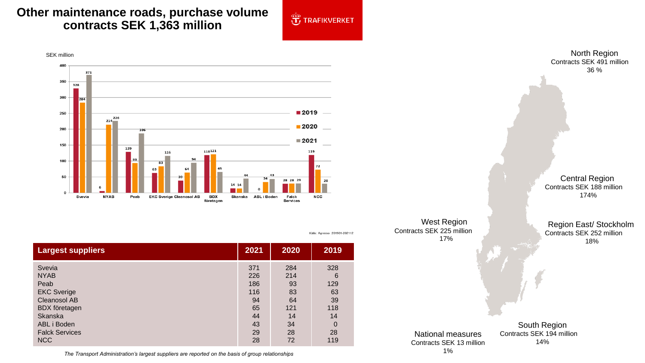## **Other maintenance roads, purchase volume contracts SEK 1,363 million**



Källa: Agresso 201901-202112



**Largest suppliers 2021 2020 2019** Svevia NYAB Peab EKC Sverige Cleanosol AB BDX företagen Skanska ABL i Boden Falck Services **NCC** 371 226 186 116 94 65 44 43 29 28 284 214 93 83 64 121 14 34 28 72 328 6 129 63 39 118 14 0 28 119

West Region Contracts SEK 225 million 17% South Region Contracts SEK 194 million Region East/ Stockholm Contracts SEK 252 million 18% National measures

Contracts SEK 13 million

14%

North Region Contracts SEK 491 million 36 %

Central Region Contracts SEK 188 million 174%

The Transport Administration's largest suppliers are reported on the basis of group relationships 1%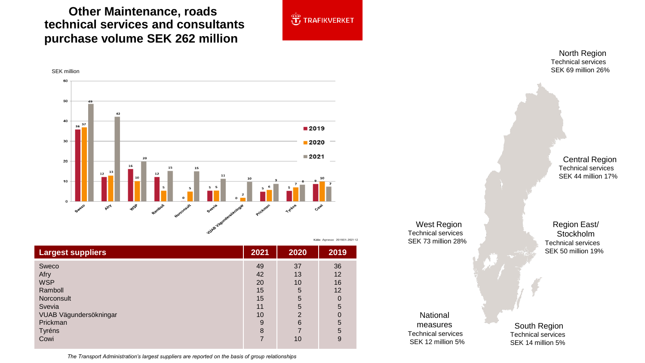**Other Maintenance, roads technical services and consultants purchase volume SEK 262 million,**



Källa: Agresso 201901-202112

SEK million60 50 40  $\frac{36}{36}$ ■2019  $30$  $2020$  $2021$  $20$ 20 15 15 10 **WSP** Rambol Sweco ASA

| <b>Largest suppliers</b>                     | 2021           | 2020                | 2019           |
|----------------------------------------------|----------------|---------------------|----------------|
| Sweco<br>Afry<br><b>WSP</b>                  | 49<br>42<br>20 | 37<br>13<br>10      | 36<br>12<br>16 |
| Ramboll<br>Norconsult<br>Svevia              | 15<br>15<br>11 | 5<br>5<br>5         | 12<br>5        |
| VUAB Vägundersökningar<br>Prickman<br>Tyréns | 10<br>9<br>8   | $\overline{2}$<br>6 | 5<br>5         |
| Cowi                                         |                | 10                  | 9              |

*The Transport Administration's largest suppliers are reported on the basis of group relationships*

North Region Technical services SEK 69 million 26%

> Central Region Technical services SEK 44 million 17%

West Region Technical services SEK 73 million 28%

Region East/ Stockholm Technical services SEK 50 million 19%

National measures Technical services SEK 12 million 5%

South Region Technical services SEK 14 million 5%